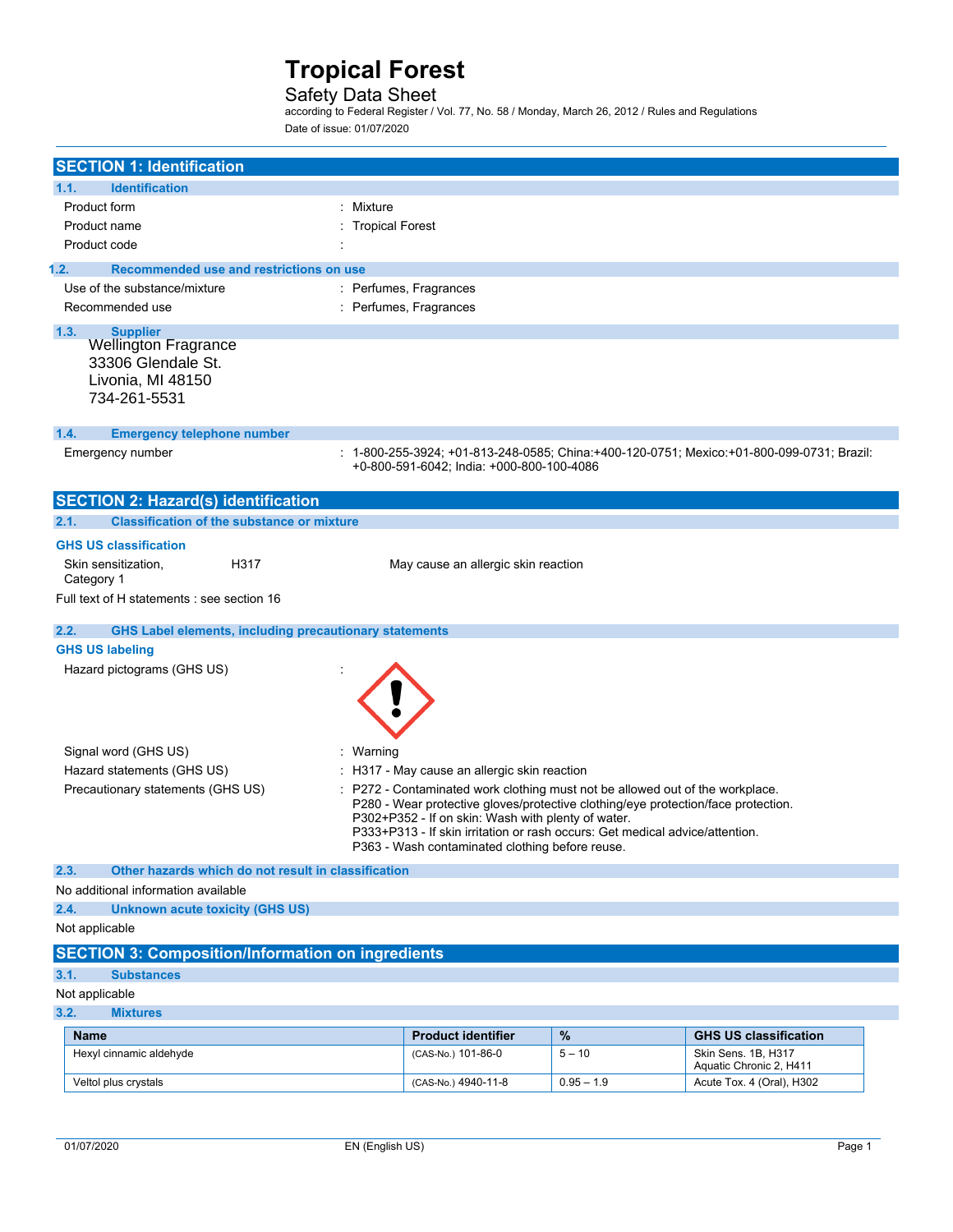### Safety Data Sheet

according to Federal Register / Vol. 77, No. 58 / Monday, March 26, 2012 / Rules and Regulations Date of issue: 01/07/2020

| <b>SECTION 1: Identification</b>                                                |                                                                                                                                         |              |                                                                                           |
|---------------------------------------------------------------------------------|-----------------------------------------------------------------------------------------------------------------------------------------|--------------|-------------------------------------------------------------------------------------------|
| 1.1.<br><b>Identification</b>                                                   |                                                                                                                                         |              |                                                                                           |
| Product form<br>: Mixture                                                       |                                                                                                                                         |              |                                                                                           |
| Product name                                                                    | <b>Tropical Forest</b>                                                                                                                  |              |                                                                                           |
| Product code                                                                    |                                                                                                                                         |              |                                                                                           |
|                                                                                 |                                                                                                                                         |              |                                                                                           |
| 1.2.<br>Recommended use and restrictions on use<br>Use of the substance/mixture | : Perfumes, Fragrances                                                                                                                  |              |                                                                                           |
| Recommended use                                                                 | : Perfumes, Fragrances                                                                                                                  |              |                                                                                           |
|                                                                                 |                                                                                                                                         |              |                                                                                           |
| 1.3.<br><b>Supplier</b><br><b>Wellington Fragrance</b>                          |                                                                                                                                         |              |                                                                                           |
| 33306 Glendale St.                                                              |                                                                                                                                         |              |                                                                                           |
| Livonia, MI 48150                                                               |                                                                                                                                         |              |                                                                                           |
| 734-261-5531                                                                    |                                                                                                                                         |              |                                                                                           |
|                                                                                 |                                                                                                                                         |              |                                                                                           |
| 1.4.<br><b>Emergency telephone number</b>                                       |                                                                                                                                         |              |                                                                                           |
| Emergency number                                                                |                                                                                                                                         |              | : 1-800-255-3924; +01-813-248-0585; China:+400-120-0751; Mexico:+01-800-099-0731; Brazil: |
|                                                                                 | +0-800-591-6042; India: +000-800-100-4086                                                                                               |              |                                                                                           |
| <b>SECTION 2: Hazard(s) identification</b>                                      |                                                                                                                                         |              |                                                                                           |
| <b>Classification of the substance or mixture</b><br>2.1.                       |                                                                                                                                         |              |                                                                                           |
|                                                                                 |                                                                                                                                         |              |                                                                                           |
| <b>GHS US classification</b>                                                    |                                                                                                                                         |              |                                                                                           |
| Skin sensitization,<br>H317<br>Category 1                                       | May cause an allergic skin reaction                                                                                                     |              |                                                                                           |
| Full text of H statements : see section 16                                      |                                                                                                                                         |              |                                                                                           |
|                                                                                 |                                                                                                                                         |              |                                                                                           |
| <b>GHS Label elements, including precautionary statements</b><br>2.2.           |                                                                                                                                         |              |                                                                                           |
| <b>GHS US labeling</b>                                                          |                                                                                                                                         |              |                                                                                           |
| Hazard pictograms (GHS US)                                                      |                                                                                                                                         |              |                                                                                           |
|                                                                                 |                                                                                                                                         |              |                                                                                           |
|                                                                                 |                                                                                                                                         |              |                                                                                           |
|                                                                                 |                                                                                                                                         |              |                                                                                           |
| Signal word (GHS US)<br>: Warning                                               |                                                                                                                                         |              |                                                                                           |
| Hazard statements (GHS US)                                                      | : H317 - May cause an allergic skin reaction                                                                                            |              |                                                                                           |
| Precautionary statements (GHS US)                                               | : P272 - Contaminated work clothing must not be allowed out of the workplace.                                                           |              |                                                                                           |
|                                                                                 | P280 - Wear protective gloves/protective clothing/eye protection/face protection.<br>P302+P352 - If on skin: Wash with plenty of water. |              |                                                                                           |
|                                                                                 | P333+P313 - If skin irritation or rash occurs: Get medical advice/attention.                                                            |              |                                                                                           |
|                                                                                 | P363 - Wash contaminated clothing before reuse.                                                                                         |              |                                                                                           |
| Other hazards which do not result in classification<br>2.3.                     |                                                                                                                                         |              |                                                                                           |
| No additional information available                                             |                                                                                                                                         |              |                                                                                           |
| 2.4.<br><b>Unknown acute toxicity (GHS US)</b>                                  |                                                                                                                                         |              |                                                                                           |
| Not applicable                                                                  |                                                                                                                                         |              |                                                                                           |
| <b>SECTION 3: Composition/Information on ingredients</b>                        |                                                                                                                                         |              |                                                                                           |
| 3.1.<br><b>Substances</b>                                                       |                                                                                                                                         |              |                                                                                           |
| Not applicable                                                                  |                                                                                                                                         |              |                                                                                           |
| 3.2.<br><b>Mixtures</b>                                                         |                                                                                                                                         |              |                                                                                           |
| <b>Name</b>                                                                     | <b>Product identifier</b>                                                                                                               | $\%$         | <b>GHS US classification</b>                                                              |
| Hexyl cinnamic aldehyde                                                         | (CAS-No.) 101-86-0                                                                                                                      | $5 - 10$     | Skin Sens. 1B, H317                                                                       |
|                                                                                 |                                                                                                                                         |              | Aquatic Chronic 2, H411                                                                   |
| Veltol plus crystals                                                            | (CAS-No.) 4940-11-8                                                                                                                     | $0.95 - 1.9$ | Acute Tox. 4 (Oral), H302                                                                 |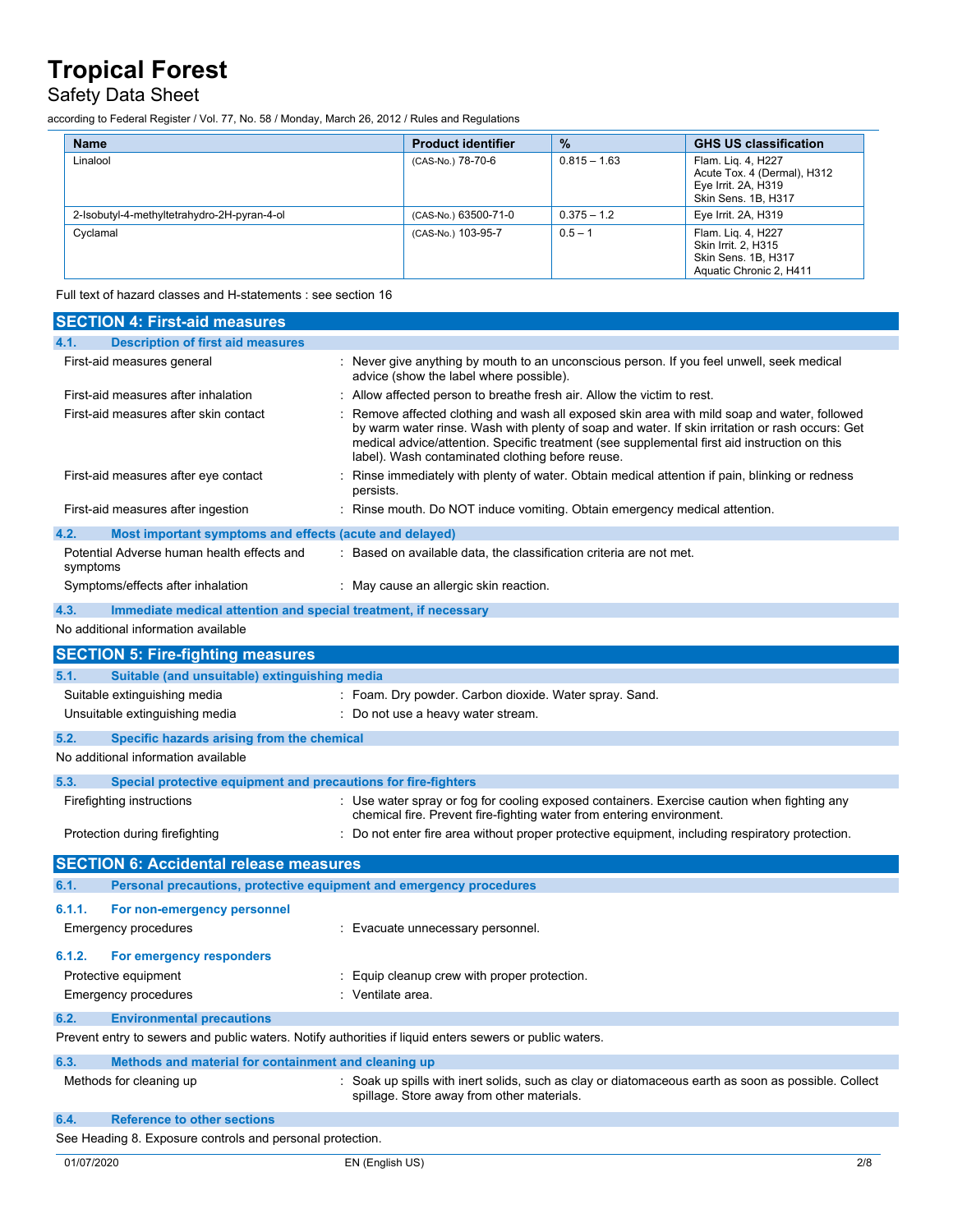## Safety Data Sheet

according to Federal Register / Vol. 77, No. 58 / Monday, March 26, 2012 / Rules and Regulations

| <b>Name</b>                                 | <b>Product identifier</b> | $\frac{9}{6}$  | <b>GHS US classification</b>                                                                    |
|---------------------------------------------|---------------------------|----------------|-------------------------------------------------------------------------------------------------|
| Linalool                                    | (CAS-No.) 78-70-6         | $0.815 - 1.63$ | Flam. Liq. 4, H227<br>Acute Tox. 4 (Dermal), H312<br>Eye Irrit. 2A, H319<br>Skin Sens. 1B, H317 |
| 2-Isobutyl-4-methyltetrahydro-2H-pyran-4-ol | (CAS-No.) 63500-71-0      | $0.375 - 1.2$  | Eye Irrit. 2A, H319                                                                             |
| Cyclamal                                    | (CAS-No.) 103-95-7        | $0.5 - 1$      | Flam. Lig. 4, H227<br>Skin Irrit. 2, H315<br>Skin Sens. 1B, H317<br>Aquatic Chronic 2, H411     |

Full text of hazard classes and H-statements : see section 16

| <b>SECTION 4: First-aid measures</b>                                                                    |                                                                                                                                                                                                                                                                                                                                                   |
|---------------------------------------------------------------------------------------------------------|---------------------------------------------------------------------------------------------------------------------------------------------------------------------------------------------------------------------------------------------------------------------------------------------------------------------------------------------------|
| <b>Description of first aid measures</b><br>4.1.                                                        |                                                                                                                                                                                                                                                                                                                                                   |
| First-aid measures general                                                                              | : Never give anything by mouth to an unconscious person. If you feel unwell, seek medical<br>advice (show the label where possible).                                                                                                                                                                                                              |
| First-aid measures after inhalation                                                                     | : Allow affected person to breathe fresh air. Allow the victim to rest.                                                                                                                                                                                                                                                                           |
| First-aid measures after skin contact                                                                   | Remove affected clothing and wash all exposed skin area with mild soap and water, followed<br>by warm water rinse. Wash with plenty of soap and water. If skin irritation or rash occurs: Get<br>medical advice/attention. Specific treatment (see supplemental first aid instruction on this<br>label). Wash contaminated clothing before reuse. |
| First-aid measures after eye contact                                                                    | Rinse immediately with plenty of water. Obtain medical attention if pain, blinking or redness<br>persists.                                                                                                                                                                                                                                        |
| First-aid measures after ingestion                                                                      | : Rinse mouth. Do NOT induce vomiting. Obtain emergency medical attention.                                                                                                                                                                                                                                                                        |
| 4.2.<br>Most important symptoms and effects (acute and delayed)                                         |                                                                                                                                                                                                                                                                                                                                                   |
| Potential Adverse human health effects and<br>symptoms                                                  | : Based on available data, the classification criteria are not met.                                                                                                                                                                                                                                                                               |
| Symptoms/effects after inhalation                                                                       | : May cause an allergic skin reaction.                                                                                                                                                                                                                                                                                                            |
| Immediate medical attention and special treatment, if necessary<br>4.3.                                 |                                                                                                                                                                                                                                                                                                                                                   |
| No additional information available                                                                     |                                                                                                                                                                                                                                                                                                                                                   |
| <b>SECTION 5: Fire-fighting measures</b>                                                                |                                                                                                                                                                                                                                                                                                                                                   |
| 5.1.<br>Suitable (and unsuitable) extinguishing media                                                   |                                                                                                                                                                                                                                                                                                                                                   |
| Suitable extinguishing media                                                                            | : Foam. Dry powder. Carbon dioxide. Water spray. Sand.                                                                                                                                                                                                                                                                                            |
| Unsuitable extinguishing media                                                                          | : Do not use a heavy water stream.                                                                                                                                                                                                                                                                                                                |
| 5.2.<br>Specific hazards arising from the chemical                                                      |                                                                                                                                                                                                                                                                                                                                                   |
| No additional information available                                                                     |                                                                                                                                                                                                                                                                                                                                                   |
| 5.3.<br>Special protective equipment and precautions for fire-fighters                                  |                                                                                                                                                                                                                                                                                                                                                   |
| Firefighting instructions                                                                               | : Use water spray or fog for cooling exposed containers. Exercise caution when fighting any<br>chemical fire. Prevent fire-fighting water from entering environment.                                                                                                                                                                              |
| Protection during firefighting                                                                          | : Do not enter fire area without proper protective equipment, including respiratory protection.                                                                                                                                                                                                                                                   |
| <b>SECTION 6: Accidental release measures</b>                                                           |                                                                                                                                                                                                                                                                                                                                                   |
| 6.1.<br>Personal precautions, protective equipment and emergency procedures                             |                                                                                                                                                                                                                                                                                                                                                   |
| 6.1.1.<br>For non-emergency personnel                                                                   |                                                                                                                                                                                                                                                                                                                                                   |
| <b>Emergency procedures</b>                                                                             | : Evacuate unnecessary personnel.                                                                                                                                                                                                                                                                                                                 |
| 6.1.2.<br>For emergency responders                                                                      |                                                                                                                                                                                                                                                                                                                                                   |
| Protective equipment                                                                                    | Equip cleanup crew with proper protection.                                                                                                                                                                                                                                                                                                        |
| <b>Emergency procedures</b>                                                                             | : Ventilate area.                                                                                                                                                                                                                                                                                                                                 |
| 6.2.<br><b>Environmental precautions</b>                                                                |                                                                                                                                                                                                                                                                                                                                                   |
| Prevent entry to sewers and public waters. Notify authorities if liquid enters sewers or public waters. |                                                                                                                                                                                                                                                                                                                                                   |
| 6.3.<br>Methods and material for containment and cleaning up                                            |                                                                                                                                                                                                                                                                                                                                                   |
| Methods for cleaning up                                                                                 | : Soak up spills with inert solids, such as clay or diatomaceous earth as soon as possible. Collect<br>spillage. Store away from other materials.                                                                                                                                                                                                 |
| 6.4.<br><b>Reference to other sections</b>                                                              |                                                                                                                                                                                                                                                                                                                                                   |
| See Heading 8. Exposure controls and personal protection.                                               |                                                                                                                                                                                                                                                                                                                                                   |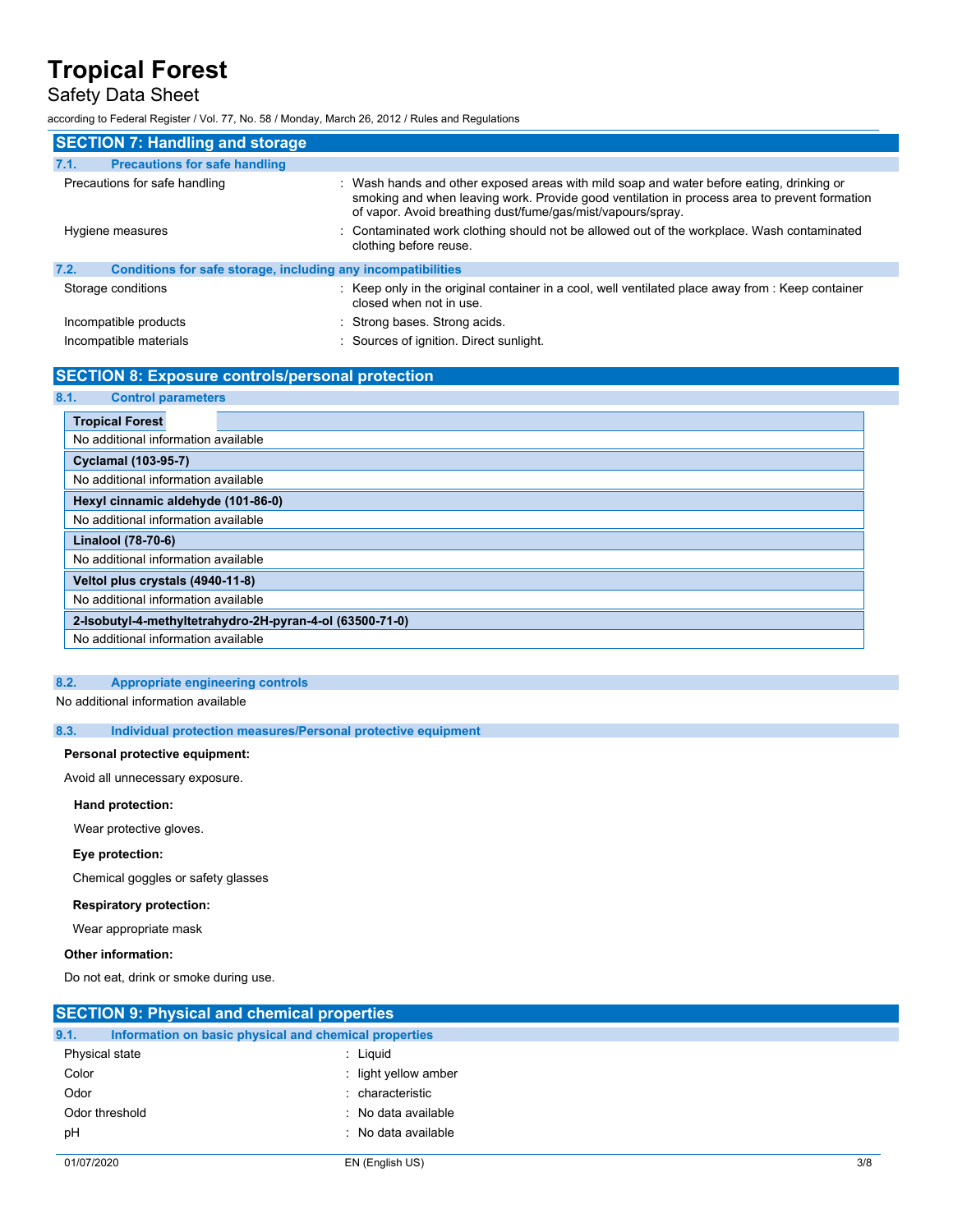### Safety Data Sheet

according to Federal Register / Vol. 77, No. 58 / Monday, March 26, 2012 / Rules and Regulations

| <b>SECTION 7: Handling and storage</b>                               |                                                                                                                                                                                                                                                         |
|----------------------------------------------------------------------|---------------------------------------------------------------------------------------------------------------------------------------------------------------------------------------------------------------------------------------------------------|
| <b>Precautions for safe handling</b><br>7.1.                         |                                                                                                                                                                                                                                                         |
| Precautions for safe handling                                        | : Wash hands and other exposed areas with mild soap and water before eating, drinking or<br>smoking and when leaving work. Provide good ventilation in process area to prevent formation<br>of vapor. Avoid breathing dust/fume/gas/mist/vapours/spray. |
| Hygiene measures                                                     | : Contaminated work clothing should not be allowed out of the workplace. Wash contaminated<br>clothing before reuse.                                                                                                                                    |
| 7.2.<br>Conditions for safe storage, including any incompatibilities |                                                                                                                                                                                                                                                         |
| Storage conditions                                                   | : Keep only in the original container in a cool, well ventilated place away from : Keep container<br>closed when not in use.                                                                                                                            |
| Incompatible products                                                | : Strong bases. Strong acids.                                                                                                                                                                                                                           |
| Incompatible materials                                               | : Sources of ignition. Direct sunlight.                                                                                                                                                                                                                 |

### **SECTION 8: Exposure controls/personal protection**

| 8.1.<br><b>Control parameters</b>   |                                                          |
|-------------------------------------|----------------------------------------------------------|
| <b>Tropical Forest</b>              |                                                          |
| No additional information available |                                                          |
| Cyclamal (103-95-7)                 |                                                          |
| No additional information available |                                                          |
| Hexyl cinnamic aldehyde (101-86-0)  |                                                          |
| No additional information available |                                                          |
| Linalool (78-70-6)                  |                                                          |
| No additional information available |                                                          |
| Veltol plus crystals (4940-11-8)    |                                                          |
| No additional information available |                                                          |
|                                     | 2-Isobutyl-4-methyltetrahydro-2H-pyran-4-ol (63500-71-0) |
| No additional information available |                                                          |

#### **8.2. Appropriate engineering controls**

No additional information available

**8.3. Individual protection measures/Personal protective equipment**

#### **Personal protective equipment:**

Avoid all unnecessary exposure.

#### **Hand protection:**

Wear protective gloves.

#### **Eye protection:**

Chemical goggles or safety glasses

#### **Respiratory protection:**

Wear appropriate mask

#### **Other information:**

Do not eat, drink or smoke during use.

| <b>SECTION 9: Physical and chemical properties</b> |                                                       |     |
|----------------------------------------------------|-------------------------------------------------------|-----|
| 9.1.                                               | Information on basic physical and chemical properties |     |
| Physical state                                     | : Liguid                                              |     |
| Color                                              | : light yellow amber                                  |     |
| Odor                                               | : characteristic                                      |     |
| Odor threshold                                     | : No data available                                   |     |
| pH                                                 | : No data available                                   |     |
|                                                    |                                                       |     |
| 01/07/2020                                         | EN (English US)                                       | 3/8 |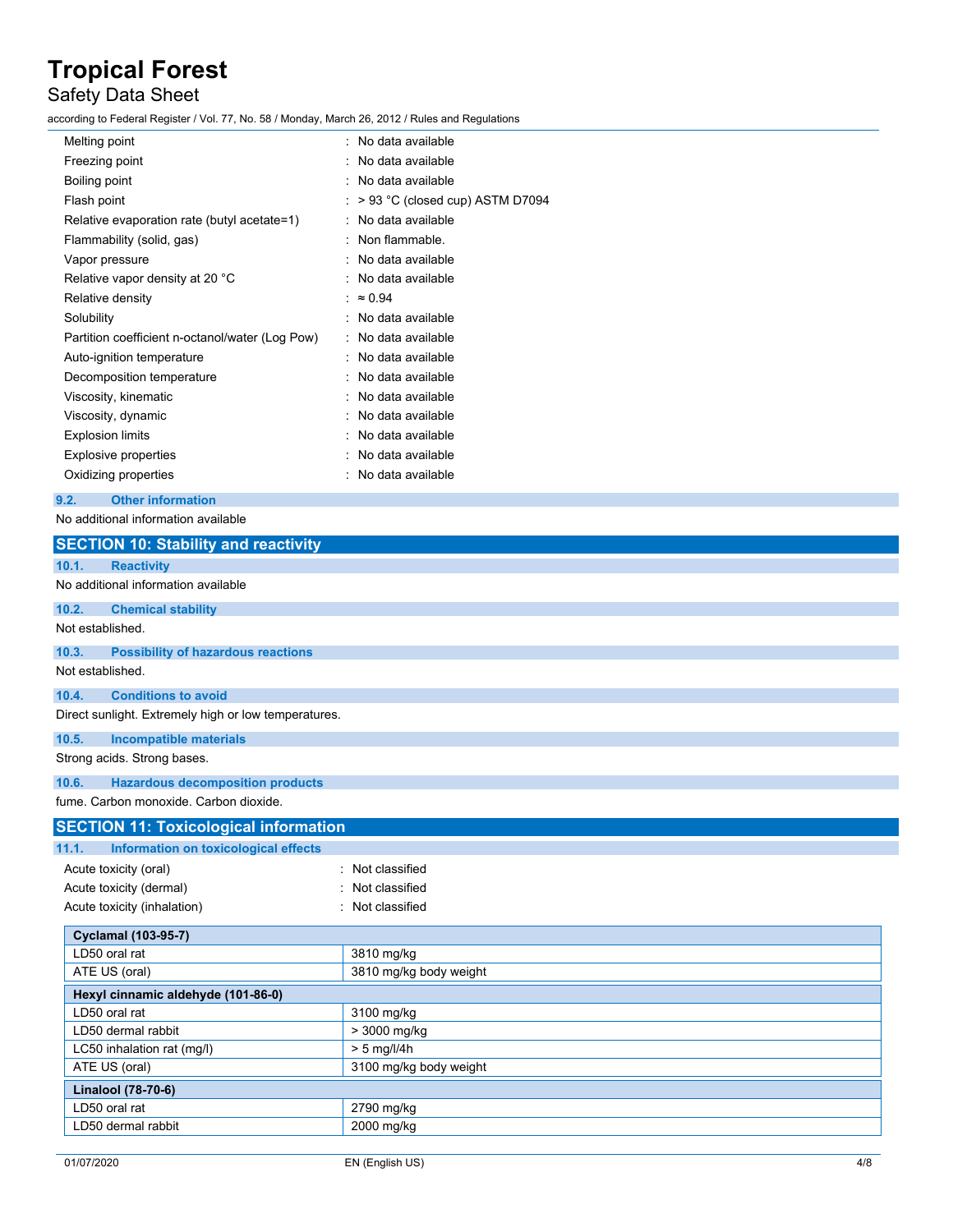## Safety Data Sheet

according to Federal Register / Vol. 77, No. 58 / Monday, March 26, 2012 / Rules and Regulations

| Melting point                                   | : No data available             |
|-------------------------------------------------|---------------------------------|
| Freezing point                                  | : No data available             |
| Boiling point                                   | No data available               |
| Flash point                                     | > 93 °C (closed cup) ASTM D7094 |
| Relative evaporation rate (butyl acetate=1)     | No data available               |
| Flammability (solid, gas)                       | Non flammable.                  |
| Vapor pressure                                  | : No data available             |
| Relative vapor density at 20 °C                 | No data available               |
| Relative density                                | $\approx 0.94$                  |
| Solubility                                      | No data available               |
| Partition coefficient n-octanol/water (Log Pow) | : No data available             |
| Auto-ignition temperature                       | : No data available             |
| Decomposition temperature                       | No data available               |
| Viscosity, kinematic                            | No data available               |
| Viscosity, dynamic                              | No data available               |
| <b>Explosion limits</b>                         | : No data available             |
| Explosive properties                            | No data available               |
| Oxidizing properties                            | No data available               |
|                                                 |                                 |

#### **9.2. Other information**

No additional information available

| <b>Reactivity</b><br><b>Chemical stability</b><br><b>Possibility of hazardous reactions</b><br><b>Conditions to avoid</b><br><b>Incompatible materials</b><br><b>Hazardous decomposition products</b><br><b>SECTION 11: Toxicological information</b><br>Information on toxicological effects<br>Acute toxicity (oral)<br>Not classified<br>Acute toxicity (dermal)<br>Not classified<br>Acute toxicity (inhalation)<br>Not classified<br><b>Cyclamal (103-95-7)</b><br>LD50 oral rat<br>3810 mg/kg<br>ATE US (oral)<br>3810 mg/kg body weight<br>Hexyl cinnamic aldehyde (101-86-0)<br>LD50 oral rat<br>3100 mg/kg<br>> 3000 mg/kg<br>LD50 dermal rabbit<br>$> 5$ mg/l/4h<br>LC50 inhalation rat (mg/l)<br>ATE US (oral)<br>3100 mg/kg body weight<br><b>Linalool (78-70-6)</b><br>LD50 oral rat<br>2790 mg/kg<br>2000 mg/kg<br>LD50 dermal rabbit |                                                      |  |
|-----------------------------------------------------------------------------------------------------------------------------------------------------------------------------------------------------------------------------------------------------------------------------------------------------------------------------------------------------------------------------------------------------------------------------------------------------------------------------------------------------------------------------------------------------------------------------------------------------------------------------------------------------------------------------------------------------------------------------------------------------------------------------------------------------------------------------------------------------|------------------------------------------------------|--|
|                                                                                                                                                                                                                                                                                                                                                                                                                                                                                                                                                                                                                                                                                                                                                                                                                                                     | <b>SECTION 10: Stability and reactivity</b>          |  |
|                                                                                                                                                                                                                                                                                                                                                                                                                                                                                                                                                                                                                                                                                                                                                                                                                                                     | 10.1.                                                |  |
|                                                                                                                                                                                                                                                                                                                                                                                                                                                                                                                                                                                                                                                                                                                                                                                                                                                     | No additional information available                  |  |
|                                                                                                                                                                                                                                                                                                                                                                                                                                                                                                                                                                                                                                                                                                                                                                                                                                                     | 10.2.                                                |  |
|                                                                                                                                                                                                                                                                                                                                                                                                                                                                                                                                                                                                                                                                                                                                                                                                                                                     | Not established.                                     |  |
|                                                                                                                                                                                                                                                                                                                                                                                                                                                                                                                                                                                                                                                                                                                                                                                                                                                     | 10.3.                                                |  |
|                                                                                                                                                                                                                                                                                                                                                                                                                                                                                                                                                                                                                                                                                                                                                                                                                                                     | Not established.                                     |  |
|                                                                                                                                                                                                                                                                                                                                                                                                                                                                                                                                                                                                                                                                                                                                                                                                                                                     | 10.4.                                                |  |
|                                                                                                                                                                                                                                                                                                                                                                                                                                                                                                                                                                                                                                                                                                                                                                                                                                                     | Direct sunlight. Extremely high or low temperatures. |  |
|                                                                                                                                                                                                                                                                                                                                                                                                                                                                                                                                                                                                                                                                                                                                                                                                                                                     | 10.5.                                                |  |
|                                                                                                                                                                                                                                                                                                                                                                                                                                                                                                                                                                                                                                                                                                                                                                                                                                                     | Strong acids. Strong bases.                          |  |
|                                                                                                                                                                                                                                                                                                                                                                                                                                                                                                                                                                                                                                                                                                                                                                                                                                                     | 10.6.                                                |  |
|                                                                                                                                                                                                                                                                                                                                                                                                                                                                                                                                                                                                                                                                                                                                                                                                                                                     | fume. Carbon monoxide. Carbon dioxide.               |  |
|                                                                                                                                                                                                                                                                                                                                                                                                                                                                                                                                                                                                                                                                                                                                                                                                                                                     |                                                      |  |
|                                                                                                                                                                                                                                                                                                                                                                                                                                                                                                                                                                                                                                                                                                                                                                                                                                                     | 11.1.                                                |  |
|                                                                                                                                                                                                                                                                                                                                                                                                                                                                                                                                                                                                                                                                                                                                                                                                                                                     |                                                      |  |
|                                                                                                                                                                                                                                                                                                                                                                                                                                                                                                                                                                                                                                                                                                                                                                                                                                                     |                                                      |  |
|                                                                                                                                                                                                                                                                                                                                                                                                                                                                                                                                                                                                                                                                                                                                                                                                                                                     |                                                      |  |
|                                                                                                                                                                                                                                                                                                                                                                                                                                                                                                                                                                                                                                                                                                                                                                                                                                                     |                                                      |  |
|                                                                                                                                                                                                                                                                                                                                                                                                                                                                                                                                                                                                                                                                                                                                                                                                                                                     |                                                      |  |
|                                                                                                                                                                                                                                                                                                                                                                                                                                                                                                                                                                                                                                                                                                                                                                                                                                                     |                                                      |  |
|                                                                                                                                                                                                                                                                                                                                                                                                                                                                                                                                                                                                                                                                                                                                                                                                                                                     |                                                      |  |
|                                                                                                                                                                                                                                                                                                                                                                                                                                                                                                                                                                                                                                                                                                                                                                                                                                                     |                                                      |  |
|                                                                                                                                                                                                                                                                                                                                                                                                                                                                                                                                                                                                                                                                                                                                                                                                                                                     |                                                      |  |
|                                                                                                                                                                                                                                                                                                                                                                                                                                                                                                                                                                                                                                                                                                                                                                                                                                                     |                                                      |  |
|                                                                                                                                                                                                                                                                                                                                                                                                                                                                                                                                                                                                                                                                                                                                                                                                                                                     |                                                      |  |
|                                                                                                                                                                                                                                                                                                                                                                                                                                                                                                                                                                                                                                                                                                                                                                                                                                                     |                                                      |  |
|                                                                                                                                                                                                                                                                                                                                                                                                                                                                                                                                                                                                                                                                                                                                                                                                                                                     |                                                      |  |
|                                                                                                                                                                                                                                                                                                                                                                                                                                                                                                                                                                                                                                                                                                                                                                                                                                                     |                                                      |  |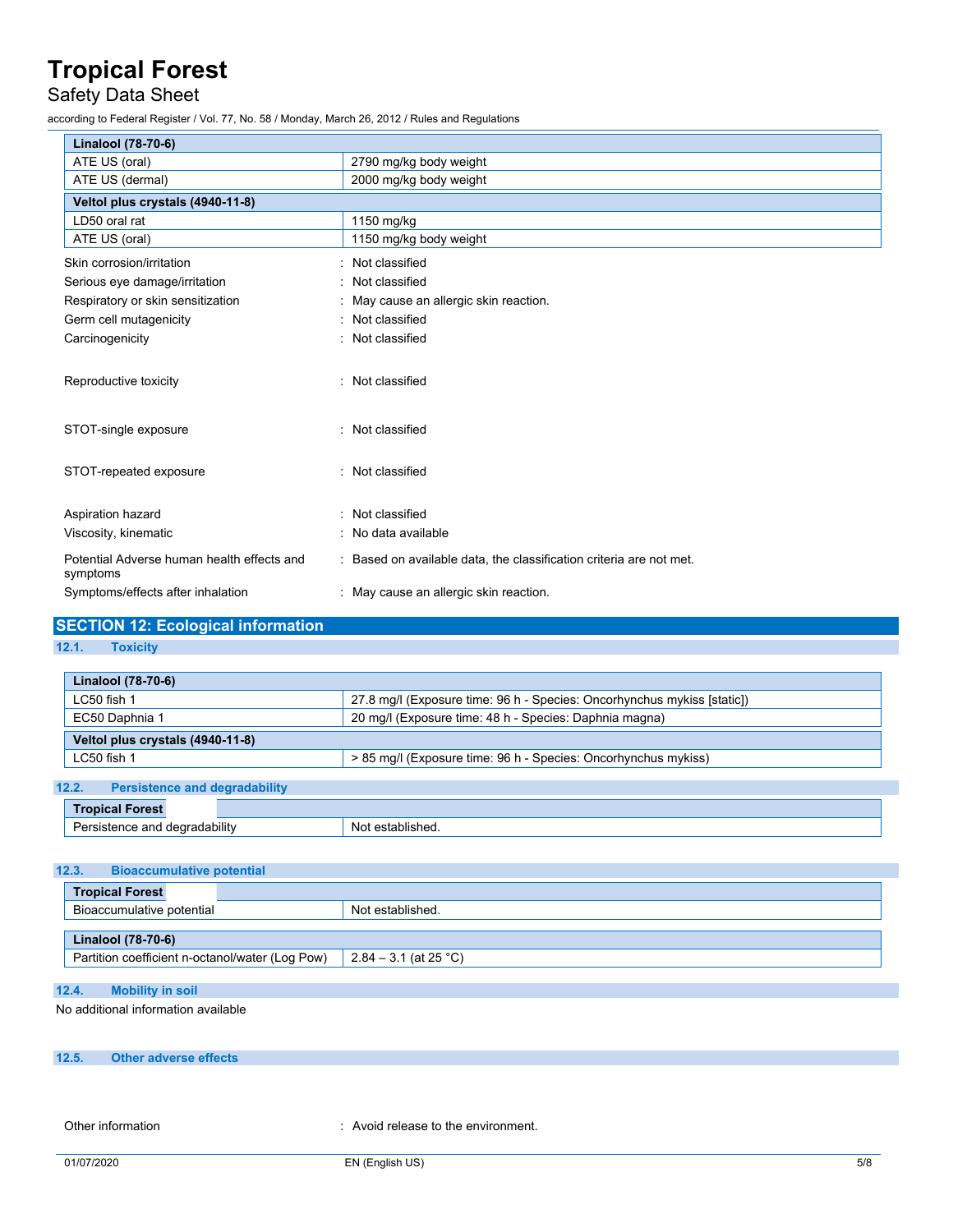## Safety Data Sheet

according to Federal Register / Vol. 77, No. 58 / Monday, March 26, 2012 / Rules and Regulations

| Linalool (78-70-6)                                     |                                                                     |
|--------------------------------------------------------|---------------------------------------------------------------------|
| ATE US (oral)                                          | 2790 mg/kg body weight                                              |
| ATE US (dermal)                                        | 2000 mg/kg body weight                                              |
| Veltol plus crystals (4940-11-8)                       |                                                                     |
| LD50 oral rat                                          | 1150 mg/kg                                                          |
| ATE US (oral)                                          | 1150 mg/kg body weight                                              |
| Skin corrosion/irritation                              | Not classified                                                      |
| Serious eye damage/irritation                          | Not classified                                                      |
| Respiratory or skin sensitization                      | May cause an allergic skin reaction.                                |
| Germ cell mutagenicity                                 | Not classified                                                      |
| Carcinogenicity                                        | Not classified                                                      |
| Reproductive toxicity                                  | Not classified                                                      |
| STOT-single exposure                                   | Not classified                                                      |
| STOT-repeated exposure                                 | Not classified                                                      |
| Aspiration hazard                                      | Not classified                                                      |
| Viscosity, kinematic                                   | No data available                                                   |
| Potential Adverse human health effects and<br>symptoms | : Based on available data, the classification criteria are not met. |
| Symptoms/effects after inhalation                      | May cause an allergic skin reaction.                                |

#### **SECTION 12: Ecological information**

#### **12.1. Toxicity**

| Linalool (78-70-6)               |                                                                         |
|----------------------------------|-------------------------------------------------------------------------|
| $LC50$ fish 1                    | 27.8 mg/l (Exposure time: 96 h - Species: Oncorhynchus mykiss [static]) |
| EC50 Daphnia 1                   | 20 mg/l (Exposure time: 48 h - Species: Daphnia magna)                  |
| Veltol plus crystals (4940-11-8) |                                                                         |
| $LC50$ fish 1                    | > 85 mg/l (Exposure time: 96 h - Species: Oncorhynchus mykiss)          |
|                                  |                                                                         |

#### **12.2. Persistence and degradability**

| <b>Fig. 4</b>       |              |
|---------------------|--------------|
| $\cdots$<br>⇒bilitv | $\sim$<br>יי |

#### **12.3. Bioaccumulative potential**

| <b>Tropical Forest</b>                          |                       |
|-------------------------------------------------|-----------------------|
| Bioaccumulative potential                       | Not established.      |
|                                                 |                       |
| <b>Linalool</b> (78-70-6)                       |                       |
| Partition coefficient n-octanol/water (Log Pow) | 2.84 – 3.1 (at 25 °C) |

#### **12.4. Mobility in soil**

No additional information available

### **12.5. Other adverse effects**

Other information **COLOREG 2018** 2019 : Avoid release to the environment.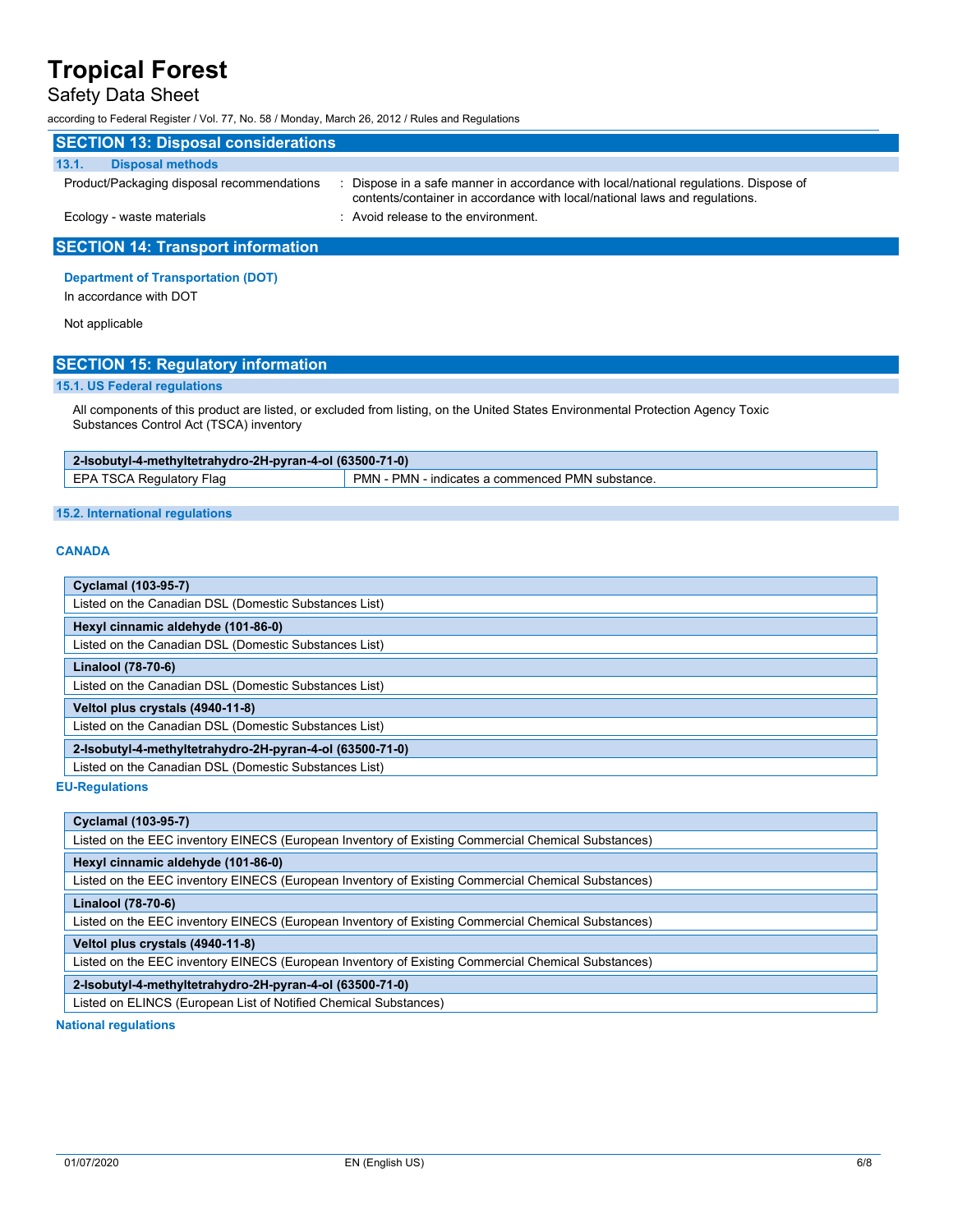### Safety Data Sheet

according to Federal Register / Vol. 77, No. 58 / Monday, March 26, 2012 / Rules and Regulations

| <b>SECTION 13: Disposal considerations</b> |                                                                                                                                                                  |  |  |  |
|--------------------------------------------|------------------------------------------------------------------------------------------------------------------------------------------------------------------|--|--|--|
| 13.1.<br><b>Disposal methods</b>           |                                                                                                                                                                  |  |  |  |
| Product/Packaging disposal recommendations | Dispose in a safe manner in accordance with local/national regulations. Dispose of<br>contents/container in accordance with local/national laws and regulations. |  |  |  |
| Ecology - waste materials                  | : Avoid release to the environment.                                                                                                                              |  |  |  |
| <b>SECTION 14: Transport information</b>   |                                                                                                                                                                  |  |  |  |

#### **Department of Transportation (DOT)**

In accordance with DOT

Not applicable

### **SECTION 15: Regulatory information**

#### **15.1. US Federal regulations**

All components of this product are listed, or excluded from listing, on the United States Environmental Protection Agency Toxic Substances Control Act (TSCA) inventory

| 2-Isobutyl-4-methyltetrahydro-2H-pyran-4-ol (63500-71-0) |                                                  |  |
|----------------------------------------------------------|--------------------------------------------------|--|
| EPA TSCA Regulatory Flag                                 | PMN - PMN - indicates a commenced PMN substance. |  |

#### **15.2. International regulations**

#### **CANADA**

| <b>Cyclamal (103-95-7)</b>                               |  |  |
|----------------------------------------------------------|--|--|
| Listed on the Canadian DSL (Domestic Substances List)    |  |  |
| Hexyl cinnamic aldehyde (101-86-0)                       |  |  |
| Listed on the Canadian DSL (Domestic Substances List)    |  |  |
| Linalool (78-70-6)                                       |  |  |
| Listed on the Canadian DSL (Domestic Substances List)    |  |  |
| Veltol plus crystals (4940-11-8)                         |  |  |
| Listed on the Canadian DSL (Domestic Substances List)    |  |  |
| 2-Isobutyl-4-methyltetrahydro-2H-pyran-4-ol (63500-71-0) |  |  |
| Listed on the Canadian DSL (Domestic Substances List)    |  |  |

**EU-Regulations**

| <b>Cyclamal (103-95-7)</b>                                                                         |  |  |
|----------------------------------------------------------------------------------------------------|--|--|
| Listed on the EEC inventory EINECS (European Inventory of Existing Commercial Chemical Substances) |  |  |
| Hexyl cinnamic aldehyde (101-86-0)                                                                 |  |  |
| Listed on the EEC inventory EINECS (European Inventory of Existing Commercial Chemical Substances) |  |  |
| Linalool (78-70-6)                                                                                 |  |  |
| Listed on the EEC inventory EINECS (European Inventory of Existing Commercial Chemical Substances) |  |  |
| Veltol plus crystals (4940-11-8)                                                                   |  |  |
| Listed on the EEC inventory EINECS (European Inventory of Existing Commercial Chemical Substances) |  |  |
| 2-Isobutyl-4-methyltetrahydro-2H-pyran-4-ol (63500-71-0)                                           |  |  |
| Listed on ELINCS (European List of Notified Chemical Substances)                                   |  |  |
| المستحدث والمتسار والمستحدث والمستحدث والمنافذ                                                     |  |  |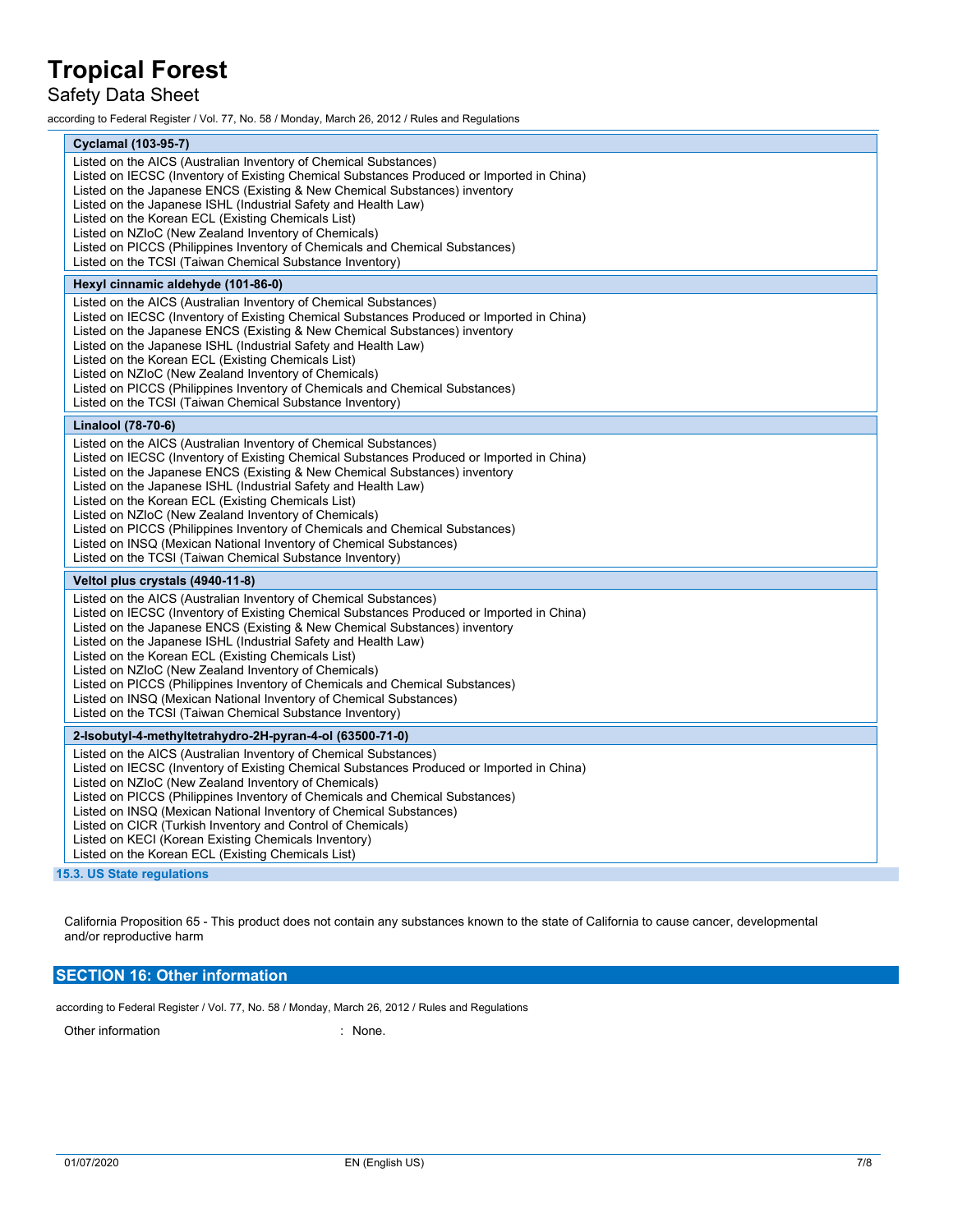### Safety Data Sheet

according to Federal Register / Vol. 77, No. 58 / Monday, March 26, 2012 / Rules and Regulations

| <b>Cyclamal (103-95-7)</b>                                                                                                                                                                                                                                                                                                                                                                                                                                                                                                                                                                                                                    |  |  |  |
|-----------------------------------------------------------------------------------------------------------------------------------------------------------------------------------------------------------------------------------------------------------------------------------------------------------------------------------------------------------------------------------------------------------------------------------------------------------------------------------------------------------------------------------------------------------------------------------------------------------------------------------------------|--|--|--|
| Listed on the AICS (Australian Inventory of Chemical Substances)<br>Listed on IECSC (Inventory of Existing Chemical Substances Produced or Imported in China)<br>Listed on the Japanese ENCS (Existing & New Chemical Substances) inventory<br>Listed on the Japanese ISHL (Industrial Safety and Health Law)<br>Listed on the Korean ECL (Existing Chemicals List)<br>Listed on NZIoC (New Zealand Inventory of Chemicals)<br>Listed on PICCS (Philippines Inventory of Chemicals and Chemical Substances)<br>Listed on the TCSI (Taiwan Chemical Substance Inventory)                                                                       |  |  |  |
| Hexyl cinnamic aldehyde (101-86-0)                                                                                                                                                                                                                                                                                                                                                                                                                                                                                                                                                                                                            |  |  |  |
| Listed on the AICS (Australian Inventory of Chemical Substances)<br>Listed on IECSC (Inventory of Existing Chemical Substances Produced or Imported in China)<br>Listed on the Japanese ENCS (Existing & New Chemical Substances) inventory<br>Listed on the Japanese ISHL (Industrial Safety and Health Law)<br>Listed on the Korean ECL (Existing Chemicals List)<br>Listed on NZIoC (New Zealand Inventory of Chemicals)<br>Listed on PICCS (Philippines Inventory of Chemicals and Chemical Substances)<br>Listed on the TCSI (Taiwan Chemical Substance Inventory)                                                                       |  |  |  |
| Linalool (78-70-6)                                                                                                                                                                                                                                                                                                                                                                                                                                                                                                                                                                                                                            |  |  |  |
| Listed on the AICS (Australian Inventory of Chemical Substances)<br>Listed on IECSC (Inventory of Existing Chemical Substances Produced or Imported in China)<br>Listed on the Japanese ENCS (Existing & New Chemical Substances) inventory<br>Listed on the Japanese ISHL (Industrial Safety and Health Law)<br>Listed on the Korean ECL (Existing Chemicals List)<br>Listed on NZIoC (New Zealand Inventory of Chemicals)<br>Listed on PICCS (Philippines Inventory of Chemicals and Chemical Substances)<br>Listed on INSQ (Mexican National Inventory of Chemical Substances)<br>Listed on the TCSI (Taiwan Chemical Substance Inventory) |  |  |  |
| Veltol plus crystals (4940-11-8)                                                                                                                                                                                                                                                                                                                                                                                                                                                                                                                                                                                                              |  |  |  |
| Listed on the AICS (Australian Inventory of Chemical Substances)<br>Listed on IECSC (Inventory of Existing Chemical Substances Produced or Imported in China)<br>Listed on the Japanese ENCS (Existing & New Chemical Substances) inventory<br>Listed on the Japanese ISHL (Industrial Safety and Health Law)<br>Listed on the Korean ECL (Existing Chemicals List)<br>Listed on NZIoC (New Zealand Inventory of Chemicals)<br>Listed on PICCS (Philippines Inventory of Chemicals and Chemical Substances)<br>Listed on INSQ (Mexican National Inventory of Chemical Substances)<br>Listed on the TCSI (Taiwan Chemical Substance Inventory) |  |  |  |
| 2-Isobutyl-4-methyltetrahydro-2H-pyran-4-ol (63500-71-0)                                                                                                                                                                                                                                                                                                                                                                                                                                                                                                                                                                                      |  |  |  |
| Listed on the AICS (Australian Inventory of Chemical Substances)<br>Listed on IECSC (Inventory of Existing Chemical Substances Produced or Imported in China)<br>Listed on NZIoC (New Zealand Inventory of Chemicals)<br>Listed on PICCS (Philippines Inventory of Chemicals and Chemical Substances)<br>Listed on INSQ (Mexican National Inventory of Chemical Substances)<br>Listed on CICR (Turkish Inventory and Control of Chemicals)<br>Listed on KECI (Korean Existing Chemicals Inventory)<br>Listed on the Korean ECL (Existing Chemicals List)                                                                                      |  |  |  |

**15.3. US State regulations**

California Proposition 65 - This product does not contain any substances known to the state of California to cause cancer, developmental and/or reproductive harm

### **SECTION 16: Other information**

according to Federal Register / Vol. 77, No. 58 / Monday, March 26, 2012 / Rules and Regulations

Other information in the contract of the contract of the contract of the contract of the contract of the contract of the contract of the contract of the contract of the contract of the contract of the contract of the contr